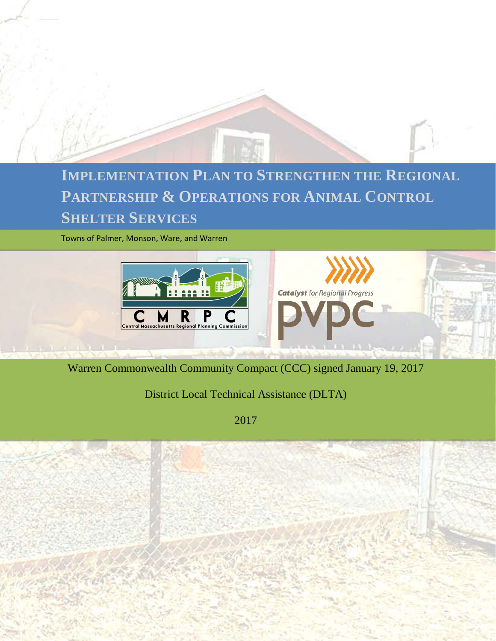

## **SHELTER SERVICES IMPLEMENTATION PLAN TO STRENGTHEN THE REGIONAL PARTNERSHIP & OPERATIONS FOR ANIMAL CONTROL**

Towns of Palmer, Monson, Ware, and Warren



Warren Commonwealth Community Compact (CCC) signed January 19, 2017

District Local Technical Assistance (DLTA)

2017

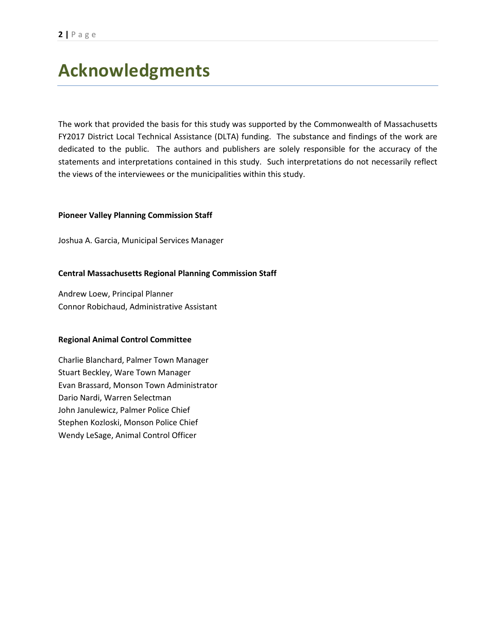## **Acknowledgments**

The work that provided the basis for this study was supported by the Commonwealth of Massachusetts FY2017 District Local Technical Assistance (DLTA) funding. The substance and findings of the work are dedicated to the public. The authors and publishers are solely responsible for the accuracy of the statements and interpretations contained in this study. Such interpretations do not necessarily reflect the views of the interviewees or the municipalities within this study.

#### **Pioneer Valley Planning Commission Staff**

Joshua A. Garcia, Municipal Services Manager

#### **Central Massachusetts Regional Planning Commission Staff**

Andrew Loew, Principal Planner Connor Robichaud, Administrative Assistant

#### **Regional Animal Control Committee**

Charlie Blanchard, Palmer Town Manager Stuart Beckley, Ware Town Manager Evan Brassard, Monson Town Administrator Dario Nardi, Warren Selectman John Janulewicz, Palmer Police Chief Stephen Kozloski, Monson Police Chief Wendy LeSage, Animal Control Officer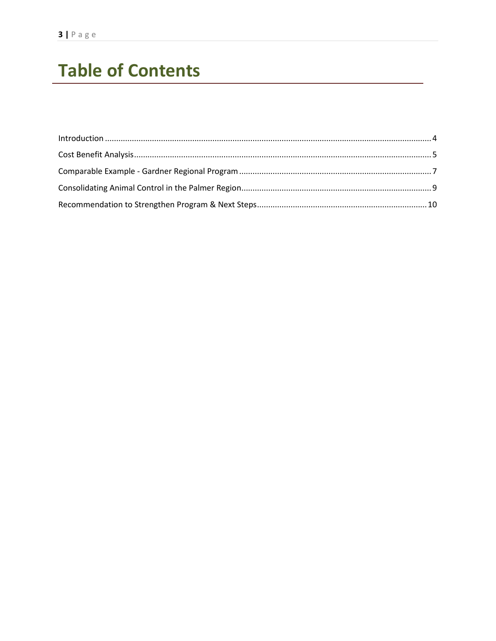# **Table of Contents**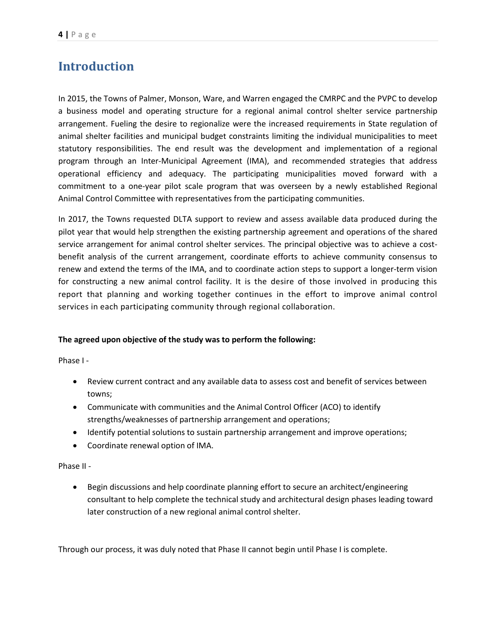## <span id="page-3-0"></span>**Introduction**

In 2015, the Towns of Palmer, Monson, Ware, and Warren engaged the CMRPC and the PVPC to develop a business model and operating structure for a regional animal control shelter service partnership arrangement. Fueling the desire to regionalize were the increased requirements in State regulation of animal shelter facilities and municipal budget constraints limiting the individual municipalities to meet statutory responsibilities. The end result was the development and implementation of a regional program through an Inter-Municipal Agreement (IMA), and recommended strategies that address operational efficiency and adequacy. The participating municipalities moved forward with a commitment to a one-year pilot scale program that was overseen by a newly established Regional Animal Control Committee with representatives from the participating communities.

In 2017, the Towns requested DLTA support to review and assess available data produced during the pilot year that would help strengthen the existing partnership agreement and operations of the shared service arrangement for animal control shelter services. The principal objective was to achieve a costbenefit analysis of the current arrangement, coordinate efforts to achieve community consensus to renew and extend the terms of the IMA, and to coordinate action steps to support a longer-term vision for constructing a new animal control facility. It is the desire of those involved in producing this report that planning and working together continues in the effort to improve animal control services in each participating community through regional collaboration.

#### **The agreed upon objective of the study was to perform the following:**

Phase I -

- Review current contract and any available data to assess cost and benefit of services between towns;
- Communicate with communities and the Animal Control Officer (ACO) to identify strengths/weaknesses of partnership arrangement and operations;
- Identify potential solutions to sustain partnership arrangement and improve operations;
- Coordinate renewal option of IMA.

Phase II -

• Begin discussions and help coordinate planning effort to secure an architect/engineering consultant to help complete the technical study and architectural design phases leading toward later construction of a new regional animal control shelter.

Through our process, it was duly noted that Phase II cannot begin until Phase I is complete.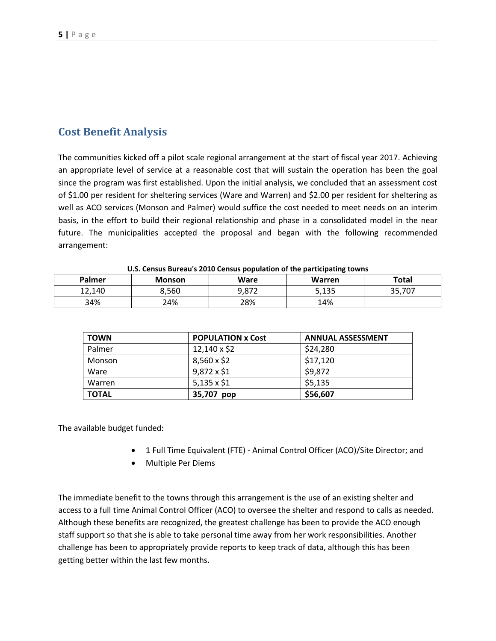### <span id="page-4-0"></span>**Cost Benefit Analysis**

The communities kicked off a pilot scale regional arrangement at the start of fiscal year 2017. Achieving an appropriate level of service at a reasonable cost that will sustain the operation has been the goal since the program was first established. Upon the initial analysis, we concluded that an assessment cost of \$1.00 per resident for sheltering services (Ware and Warren) and \$2.00 per resident for sheltering as well as ACO services (Monson and Palmer) would suffice the cost needed to meet needs on an interim basis, in the effort to build their regional relationship and phase in a consolidated model in the near future. The municipalities accepted the proposal and began with the following recommended arrangement:

| <b>U.S. CONSUS DUI CUU S EUIU CONSUS POPUNICION UN INC PUI INCIPAINING IOWNS</b> |               |       |        |              |  |
|----------------------------------------------------------------------------------|---------------|-------|--------|--------------|--|
| Palmer                                                                           | <b>Monson</b> | Ware  | Warren | <b>Total</b> |  |
| 12.140                                                                           | 8.560         | 9,872 | 5,135  | 35,707       |  |
| 34%                                                                              | 24%           | 28%   | 14%    |              |  |

**U.S. Census Bureau's 2010 Census population of the participating towns**

| <b>TOWN</b>  | <b>POPULATION x Cost</b> | <b>ANNUAL ASSESSMENT</b> |
|--------------|--------------------------|--------------------------|
| Palmer       | 12,140 x \$2             | \$24,280                 |
| Monson       | $8,560 \times $2$        | \$17,120                 |
| Ware         | 9,872 x \$1              | \$9,872                  |
| Warren       | $5,135 \times $1$        | \$5,135                  |
| <b>TOTAL</b> | 35,707 pop               | \$56,607                 |

The available budget funded:

- 1 Full Time Equivalent (FTE) Animal Control Officer (ACO)/Site Director; and
- Multiple Per Diems

The immediate benefit to the towns through this arrangement is the use of an existing shelter and access to a full time Animal Control Officer (ACO) to oversee the shelter and respond to calls as needed. Although these benefits are recognized, the greatest challenge has been to provide the ACO enough staff support so that she is able to take personal time away from her work responsibilities. Another challenge has been to appropriately provide reports to keep track of data, although this has been getting better within the last few months.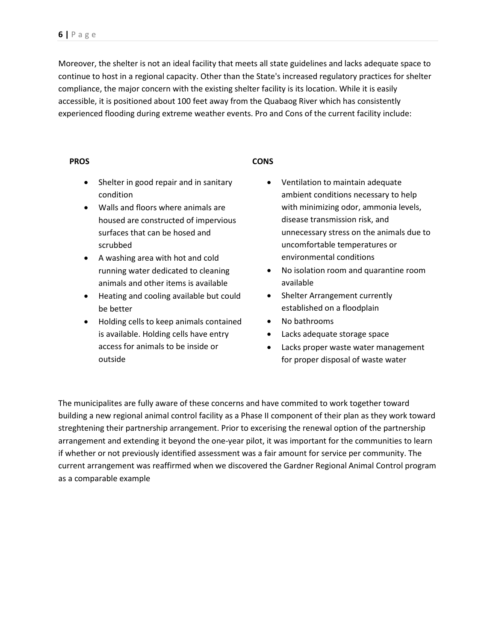Moreover, the shelter is not an ideal facility that meets all state guidelines and lacks adequate space to continue to host in a regional capacity. Other than the State's increased regulatory practices for shelter compliance, the major concern with the existing shelter facility is its location. While it is easily accessible, it is positioned about 100 feet away from the Quabaog River which has consistently experienced flooding during extreme weather events. Pro and Cons of the current facility include:

#### **PROS**

- **CONS**
- Shelter in good repair and in sanitary condition
- Walls and floors where animals are housed are constructed of impervious surfaces that can be hosed and scrubbed
- A washing area with hot and cold running water dedicated to cleaning animals and other items is available
- Heating and cooling available but could be better
- Holding cells to keep animals contained is available. Holding cells have entry access for animals to be inside or outside
- Ventilation to maintain adequate ambient conditions necessary to help with minimizing odor, ammonia levels, disease transmission risk, and unnecessary stress on the animals due to uncomfortable temperatures or environmental conditions
- No isolation room and quarantine room available
- Shelter Arrangement currently established on a floodplain
- No bathrooms
- Lacks adequate storage space
- Lacks proper waste water management for proper disposal of waste water

The municipalites are fully aware of these concerns and have commited to work together toward building a new regional animal control facility as a Phase II component of their plan as they work toward streghtening their partnership arrangement. Prior to excerising the renewal option of the partnership arrangement and extending it beyond the one-year pilot, it was important for the communities to learn if whether or not previously identified assessment was a fair amount for service per community. The current arrangement was reaffirmed when we discovered the Gardner Regional Animal Control program as a comparable example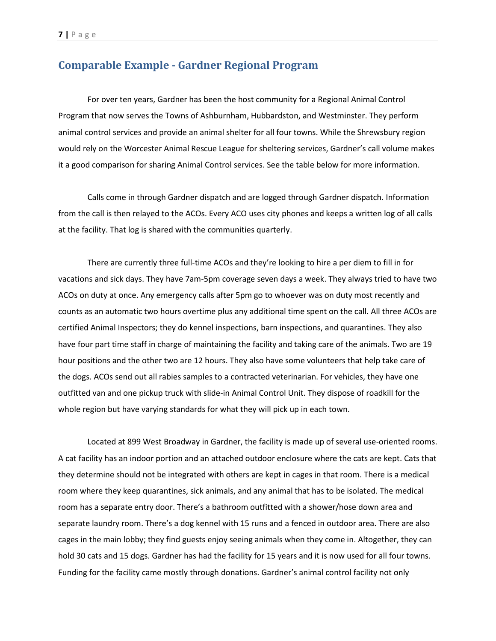### <span id="page-6-0"></span>**Comparable Example - Gardner Regional Program**

For over ten years, Gardner has been the host community for a Regional Animal Control Program that now serves the Towns of Ashburnham, Hubbardston, and Westminster. They perform animal control services and provide an animal shelter for all four towns. While the Shrewsbury region would rely on the Worcester Animal Rescue League for sheltering services, Gardner's call volume makes it a good comparison for sharing Animal Control services. See the table below for more information.

Calls come in through Gardner dispatch and are logged through Gardner dispatch. Information from the call is then relayed to the ACOs. Every ACO uses city phones and keeps a written log of all calls at the facility. That log is shared with the communities quarterly.

There are currently three full-time ACOs and they're looking to hire a per diem to fill in for vacations and sick days. They have 7am-5pm coverage seven days a week. They always tried to have two ACOs on duty at once. Any emergency calls after 5pm go to whoever was on duty most recently and counts as an automatic two hours overtime plus any additional time spent on the call. All three ACOs are certified Animal Inspectors; they do kennel inspections, barn inspections, and quarantines. They also have four part time staff in charge of maintaining the facility and taking care of the animals. Two are 19 hour positions and the other two are 12 hours. They also have some volunteers that help take care of the dogs. ACOs send out all rabies samples to a contracted veterinarian. For vehicles, they have one outfitted van and one pickup truck with slide-in Animal Control Unit. They dispose of roadkill for the whole region but have varying standards for what they will pick up in each town.

Located at 899 West Broadway in Gardner, the facility is made up of several use-oriented rooms. A cat facility has an indoor portion and an attached outdoor enclosure where the cats are kept. Cats that they determine should not be integrated with others are kept in cages in that room. There is a medical room where they keep quarantines, sick animals, and any animal that has to be isolated. The medical room has a separate entry door. There's a bathroom outfitted with a shower/hose down area and separate laundry room. There's a dog kennel with 15 runs and a fenced in outdoor area. There are also cages in the main lobby; they find guests enjoy seeing animals when they come in. Altogether, they can hold 30 cats and 15 dogs. Gardner has had the facility for 15 years and it is now used for all four towns. Funding for the facility came mostly through donations. Gardner's animal control facility not only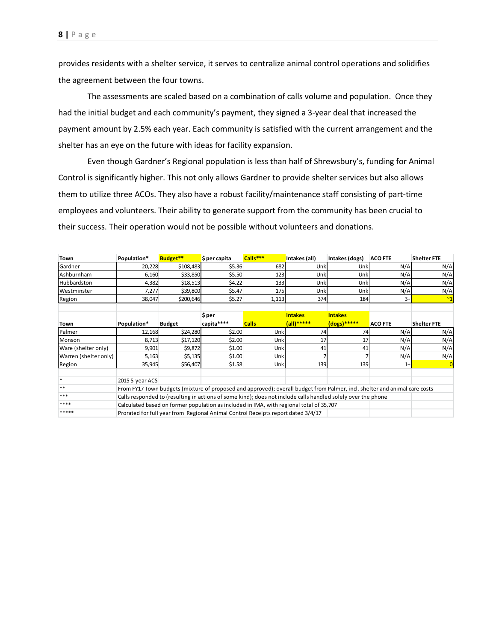provides residents with a shelter service, it serves to centralize animal control operations and solidifies the agreement between the four towns.

The assessments are scaled based on a combination of calls volume and population. Once they had the initial budget and each community's payment, they signed a 3-year deal that increased the payment amount by 2.5% each year. Each community is satisfied with the current arrangement and the shelter has an eye on the future with ideas for facility expansion.

Even though Gardner's Regional population is less than half of Shrewsbury's, funding for Animal Control is significantly higher. This not only allows Gardner to provide shelter services but also allows them to utilize three ACOs. They also have a robust facility/maintenance staff consisting of part-time employees and volunteers. Their ability to generate support from the community has been crucial to their success. Their operation would not be possible without volunteers and donations.

| Town                  | Population*                                                                                                                | Budget**      | \$ per capita | Calls***     | Intakes (all)  | Intakes (dogs) | <b>ACO FTE</b> | <b>Shelter FTE</b> |
|-----------------------|----------------------------------------------------------------------------------------------------------------------------|---------------|---------------|--------------|----------------|----------------|----------------|--------------------|
| Gardner               | 20,228                                                                                                                     | \$108,483     | \$5.36        | 682          | Unk            | Unk            | N/A            | N/A                |
| Ashburnham            | 6,160                                                                                                                      | \$33,850      | \$5.50        | 123          | Unk            | Unk            | N/A            | N/A                |
| Hubbardston           | 4,382                                                                                                                      | \$18,513      | \$4.22        | 133          | Unk            | Unk            | N/A            | N/A                |
| Westminster           | 7,277                                                                                                                      | \$39,800      | \$5.47        | 175          | Unk            | Unk            | N/A            | N/A                |
| Region                | 38,047                                                                                                                     | \$200,646     | \$5.27        | 1,113        | 374            | 184            | $3+$           | ~1                 |
|                       |                                                                                                                            |               |               |              |                |                |                |                    |
|                       |                                                                                                                            |               | \$ per        |              | <b>Intakes</b> | <b>Intakes</b> |                |                    |
| Town                  | Population*                                                                                                                | <b>Budget</b> | capita****    | <b>Calls</b> | $(all)$ *****  | (dogs)*****    | <b>ACO FTE</b> | <b>Shelter FTE</b> |
| Palmer                | 12,168                                                                                                                     | \$24,280      | \$2.00        | Unk          | 74             | 74             | N/A            | N/A                |
| Monson                | 8,713                                                                                                                      | \$17,120      | \$2.00        | Unk          | 17             | 17             | N/A            | N/A                |
| Ware (shelter only)   | 9,901                                                                                                                      | \$9,872       | \$1.00        | Unk          | 41             | 41             | N/A            | N/A                |
| Warren (shelter only) | 5,163                                                                                                                      | \$5,135       | \$1.00        | Unk          |                |                | N/A            | N/A                |
| Region                | 35,945                                                                                                                     | \$56,407      | \$1.58        | Unk          | 139            | 139            | $1+$           | $\overline{0}$     |
| $\ast$                | 2015 5-year ACS                                                                                                            |               |               |              |                |                |                |                    |
| **                    | From FY17 Town budgets (mixture of proposed and approved); overall budget from Palmer, incl. shelter and animal care costs |               |               |              |                |                |                |                    |
| ***                   | Calls responded to (resulting in actions of some kind); does not include calls handled solely over the phone               |               |               |              |                |                |                |                    |
| ****                  | Calculated based on former population as included in IMA, with regional total of 35,707                                    |               |               |              |                |                |                |                    |
| *****                 | Prorated for full year from Regional Animal Control Receipts report dated 3/4/17                                           |               |               |              |                |                |                |                    |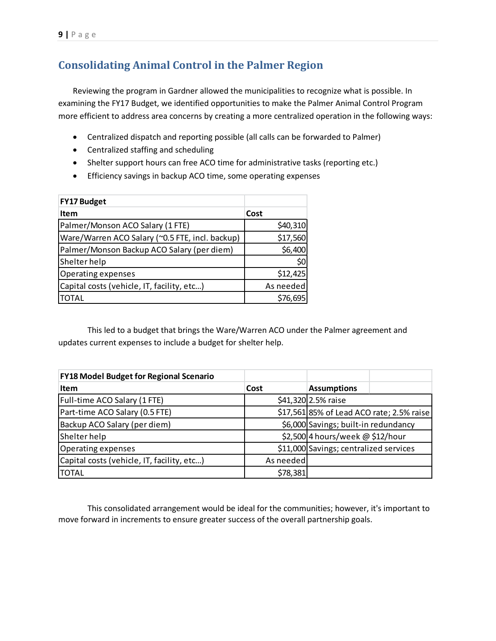## <span id="page-8-0"></span>**Consolidating Animal Control in the Palmer Region**

Reviewing the program in Gardner allowed the municipalities to recognize what is possible. In examining the FY17 Budget, we identified opportunities to make the Palmer Animal Control Program more efficient to address area concerns by creating a more centralized operation in the following ways:

- Centralized dispatch and reporting possible (all calls can be forwarded to Palmer)
- Centralized staffing and scheduling
- Shelter support hours can free ACO time for administrative tasks (reporting etc.)
- Efficiency savings in backup ACO time, some operating expenses

| <b>FY17 Budget</b>                              |           |
|-------------------------------------------------|-----------|
| <b>Item</b>                                     | Cost      |
| Palmer/Monson ACO Salary (1 FTE)                | \$40,310  |
| Ware/Warren ACO Salary (~0.5 FTE, incl. backup) | \$17,560  |
| Palmer/Monson Backup ACO Salary (per diem)      | \$6,400   |
| Shelter help                                    | \$0       |
| Operating expenses                              | \$12,425  |
| Capital costs (vehicle, IT, facility, etc)      | As needed |
| TOTAL                                           | \$76,695  |

This led to a budget that brings the Ware/Warren ACO under the Palmer agreement and updates current expenses to include a budget for shelter help.

| <b>FY18 Model Budget for Regional Scenario</b> |           |                                           |
|------------------------------------------------|-----------|-------------------------------------------|
| <b>Item</b>                                    | Cost      | <b>Assumptions</b>                        |
| Full-time ACO Salary (1 FTE)                   |           | \$41,320 2.5% raise                       |
| Part-time ACO Salary (0.5 FTE)                 |           | \$17,561 85% of Lead ACO rate; 2.5% raise |
| Backup ACO Salary (per diem)                   |           | \$6,000 Savings; built-in redundancy      |
| Shelter help                                   |           | \$2,500 4 hours/week @ \$12/hour          |
| Operating expenses                             |           | \$11,000 Savings; centralized services    |
| Capital costs (vehicle, IT, facility, etc)     | As needed |                                           |
| <b>TOTAL</b>                                   | \$78,381  |                                           |

This consolidated arrangement would be ideal for the communities; however, it's important to move forward in increments to ensure greater success of the overall partnership goals.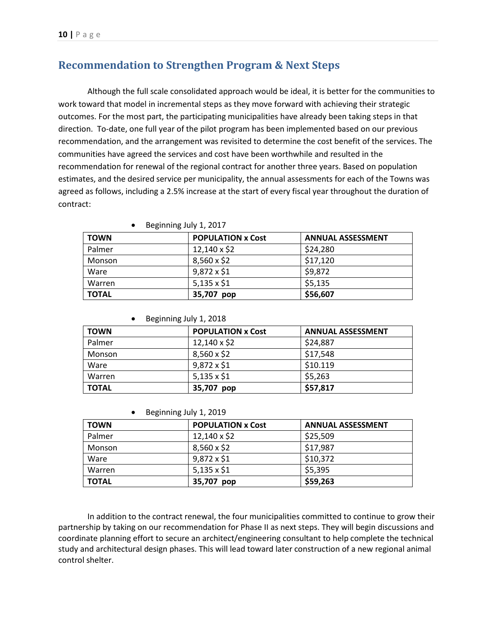### <span id="page-9-0"></span>**Recommendation to Strengthen Program & Next Steps**

Although the full scale consolidated approach would be ideal, it is better for the communities to work toward that model in incremental steps as they move forward with achieving their strategic outcomes. For the most part, the participating municipalities have already been taking steps in that direction. To-date, one full year of the pilot program has been implemented based on our previous recommendation, and the arrangement was revisited to determine the cost benefit of the services. The communities have agreed the services and cost have been worthwhile and resulted in the recommendation for renewal of the regional contract for another three years. Based on population estimates, and the desired service per municipality, the annual assessments for each of the Towns was agreed as follows, including a 2.5% increase at the start of every fiscal year throughout the duration of contract:

| <b>TOWN</b>  | <b>POPULATION x Cost</b> | <b>ANNUAL ASSESSMENT</b> |
|--------------|--------------------------|--------------------------|
| Palmer       | $12,140 \times $2$       | \$24,280                 |
| Monson       | $8,560 \times $2$        | \$17,120                 |
| Ware         | $9,872 \times $1$        | \$9,872                  |
| Warren       | $5,135 \times 1$         | \$5,135                  |
| <b>TOTAL</b> | 35,707<br>pop            | \$56,607                 |

|  | Beginning July 1, 2017 |  |
|--|------------------------|--|
|--|------------------------|--|

|  | Beginning July 1, 2018 |  |
|--|------------------------|--|
|--|------------------------|--|

| <b>TOWN</b>  | <b>POPULATION x Cost</b> | <b>ANNUAL ASSESSMENT</b> |
|--------------|--------------------------|--------------------------|
| Palmer       | $12,140 \times $2$       | \$24,887                 |
| Monson       | $8,560 \times $2$        | \$17,548                 |
| Ware         | $9,872 \times $1$        | \$10.119                 |
| Warren       | $5,135 \times 1$         | \$5,263                  |
| <b>TOTAL</b> | 35,707 pop               | \$57,817                 |

| Beginning July 1, 2019 |  |  |  |
|------------------------|--|--|--|
|------------------------|--|--|--|

| <b>TOWN</b>  | <b>POPULATION x Cost</b> | <b>ANNUAL ASSESSMENT</b> |
|--------------|--------------------------|--------------------------|
| Palmer       | $12,140 \times $2$       | \$25,509                 |
| Monson       | $8,560 \times $2$        | \$17,987                 |
| Ware         | $9,872 \times 1$         | \$10,372                 |
| Warren       | $5,135 \times 1$         | \$5,395                  |
| <b>TOTAL</b> | 35,707 pop               | \$59,263                 |

In addition to the contract renewal, the four municipalities committed to continue to grow their partnership by taking on our recommendation for Phase II as next steps. They will begin discussions and coordinate planning effort to secure an architect/engineering consultant to help complete the technical study and architectural design phases. This will lead toward later construction of a new regional animal control shelter.